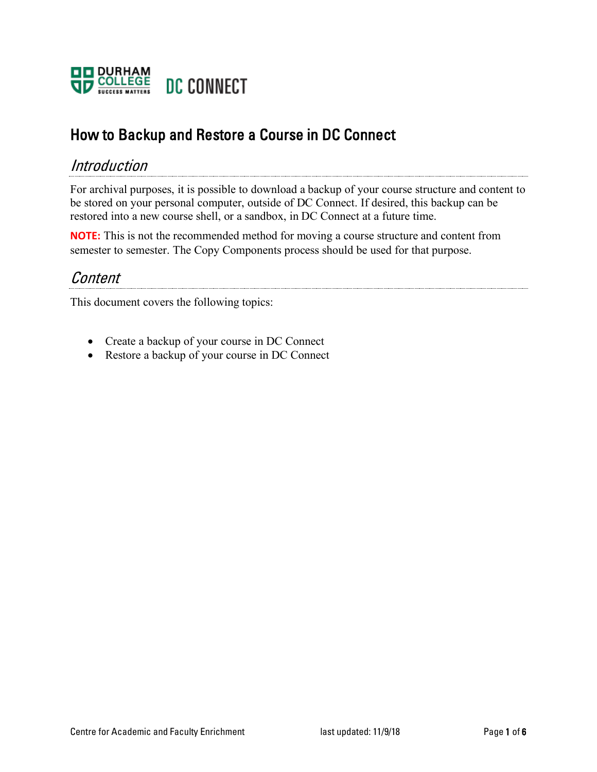

# How to Backup and Restore a Course in DC Connect

#### Introduction

For archival purposes, it is possible to download a backup of your course structure and content to be stored on your personal computer, outside of DC Connect. If desired, this backup can be restored into a new course shell, or a sandbox, in DC Connect at a future time.

**NOTE:** This is not the recommended method for moving a course structure and content from semester to semester. The Copy Components process should be used for that purpose.

#### Content

This document covers the following topics:

- Create a backup of your course in DC Connect
- Restore a backup of your course in DC Connect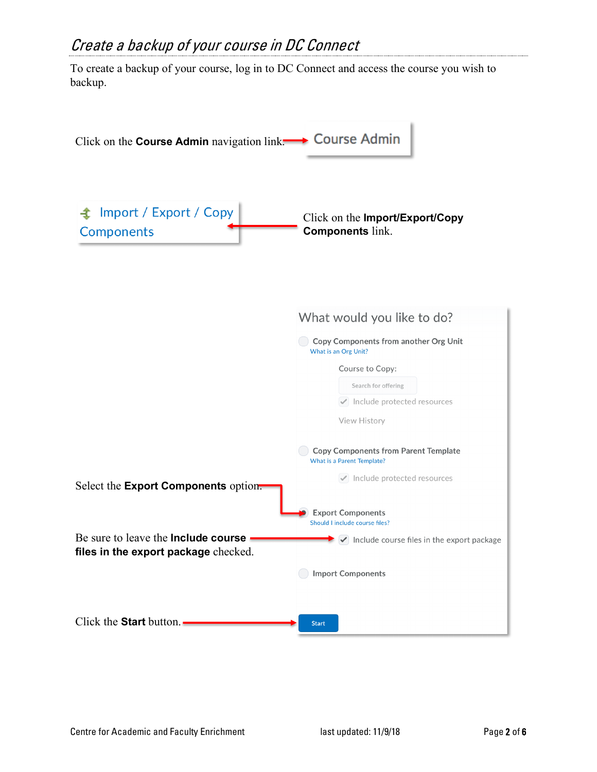## Create a backup of your course in DC Connect

To create a backup of your course, log in to DC Connect and access the course you wish to backup.

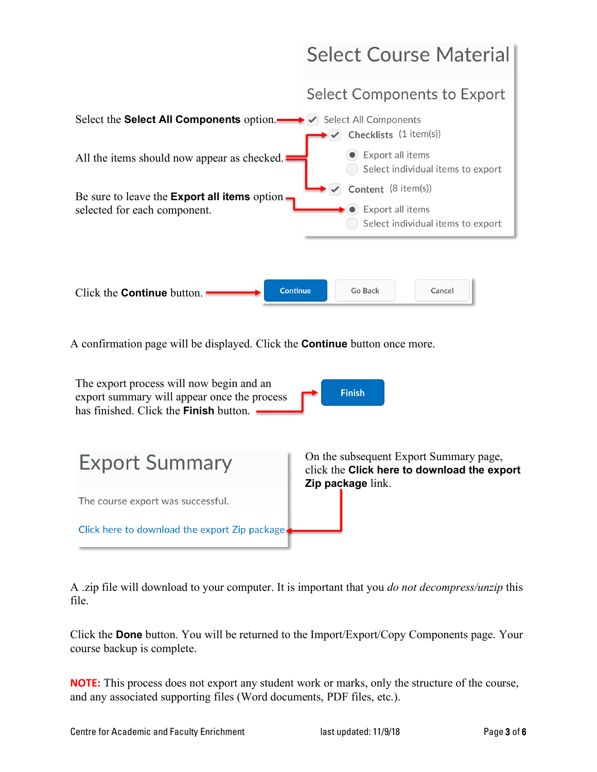

A confirmation page will be displayed. Click the **Continue** button once more.



A .zip file will download to your computer. It is important that you *do not decompress/unzip* this file.

Click the **Done** button. You will be returned to the Import/Export/Copy Components page. Your course backup is complete.

**NOTE:** This process does not export any student work or marks, only the structure of the course, and any associated supporting files (Word documents, PDF files, etc.).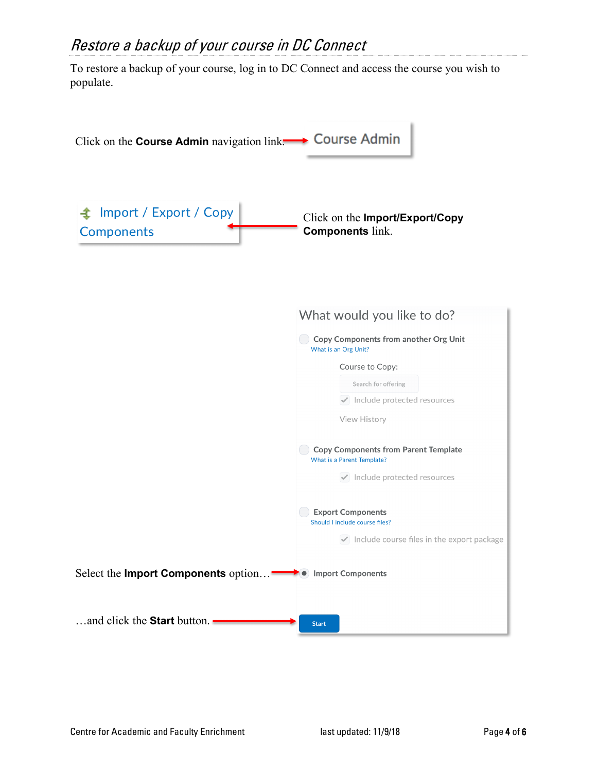### Restore a backup of your course in DC Connect

To restore a backup of your course, log in to DC Connect and access the course you wish to populate.

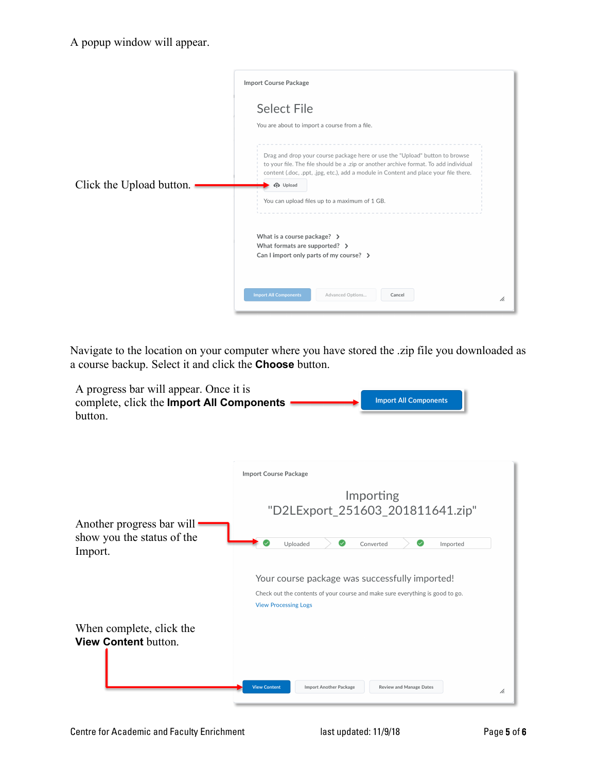|                          | <b>Import Course Package</b>                                                                                                                                                                                                                                                                                                                                                                           |  |
|--------------------------|--------------------------------------------------------------------------------------------------------------------------------------------------------------------------------------------------------------------------------------------------------------------------------------------------------------------------------------------------------------------------------------------------------|--|
| Click the Upload button. | <b>Select File</b><br>You are about to import a course from a file.<br>Drag and drop your course package here or use the "Upload" button to browse<br>to your file. The file should be a .zip or another archive format. To add individual<br>content (.doc, .ppt, .jpg, etc.), add a module in Content and place your file there.<br><b>C</b> Upload<br>You can upload files up to a maximum of 1 GB. |  |
|                          | What is a course package? $\rightarrow$<br>What formats are supported? $\rightarrow$<br>Can I import only parts of my course? $\rightarrow$<br><b>Import All Components</b><br>Advanced Options<br>Cancel<br>h.                                                                                                                                                                                        |  |

Navigate to the location on your computer where you have stored the .zip file you downloaded as a course backup. Select it and click the **Choose** button.